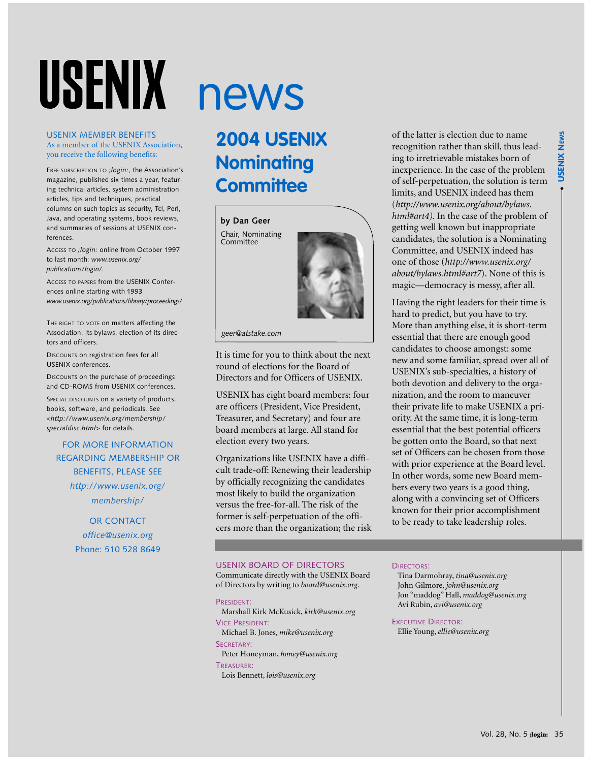# USENIX

#### USENIX MEMBER BENEFITS As a member of the USENIX Association, you receive the following benefits:

FREE SUBSCRIPTION TO *;login:*, the Association's magazine, published six times a year, featuring technical articles, system administration articles, tips and techniques, practical columns on such topics as security, Tcl, Perl, Java, and operating systems, book reviews, and summaries of sessions at USENIX conferences.

ACCESS TO *;login:* online from October 1997 to last month: *www.usenix.org/ publications/login/.*

ACCESS TO PAPERS from the USENIX Conferences online starting with 1993 *www.usenix.org/publications/library/proceedings/*

THE RIGHT TO VOTE ON matters affecting the Association, its bylaws, election of its directors and officers.

DISCOUNTS on registration fees for all USENIX conferences.

DISCOUNTS on the purchase of proceedings and CD-ROMS from USENIX conferences.

SPECIAL DISCOUNTS on a variety of products, books, software, and periodicals. See *<http://www.usenix.org/membership/ specialdisc.html>* for details.

#### FOR MORE INFORMATION REGARDING MEMBERSHIP OR BENEFITS, PLEASE SEE *http://www.usenix.org/ membership/*

#### OR CONTACT *office@usenix.org* Phone: 510 528 8649

# news

### **2004 USENIX Nominating Committee**





*geer@atstake.com*

It is time for you to think about the next round of elections for the Board of Directors and for Officers of USENIX.

USENIX has eight board members: four are officers (President, Vice President, Treasurer, and Secretary) and four are board members at large. All stand for election every two years.

Organizations like USENIX have a difficult trade-off: Renewing their leadership by officially recognizing the candidates most likely to build the organization versus the free-for-all. The risk of the former is self-perpetuation of the officers more than the organization; the risk

of the latter is election due to name recognition rather than skill, thus leading to irretrievable mistakes born of inexperience. In the case of the problem of self-perpetuation, the solution is term limits, and USENIX indeed has them (*http://www.usenix.org/about/bylaws. html#art4).* In the case of the problem of getting well known but inappropriate candidates, the solution is a Nominating Committee, and USENIX indeed has one of those (*http://www.usenix.org/ about/bylaws.html#art7*). None of this is magic—democracy is messy, after all.

Having the right leaders for their time is hard to predict, but you have to try. More than anything else, it is short-term essential that there are enough good candidates to choose amongst: some new and some familiar, spread over all of USENIX's sub-specialties, a history of both devotion and delivery to the organization, and the room to maneuver their private life to make USENIX a priority. At the same time, it is long-term essential that the best potential officers be gotten onto the Board, so that next set of Officers can be chosen from those with prior experience at the Board level. In other words, some new Board members every two years is a good thing, along with a convincing set of Officers known for their prior accomplishment to be ready to take leadership roles.

#### USENIX BOARD OF DIRECTORS

Communicate directly with the USENIX Board of Directors by writing to *board@usenix.org*.

#### PRESIDENT:

Marshall Kirk McKusick, *kirk@usenix.org* VICE PRESIDENT:

Michael B. Jones, *mike@usenix.org* SECRETARY:

Peter Honeyman, *honey@usenix.org* TREASURER:

Lois Bennett, *lois@usenix.org*

#### DIRECTORS:

Tina Darmohray, *tina@usenix.org* John Gilmore, *john@usenix.org* Jon "maddog" Hall, *maddog@usenix.org* Avi Rubin, *avi@usenix.org*

EXECUTIVE DIRECTOR: Ellie Young, *ellie@usenix.org*